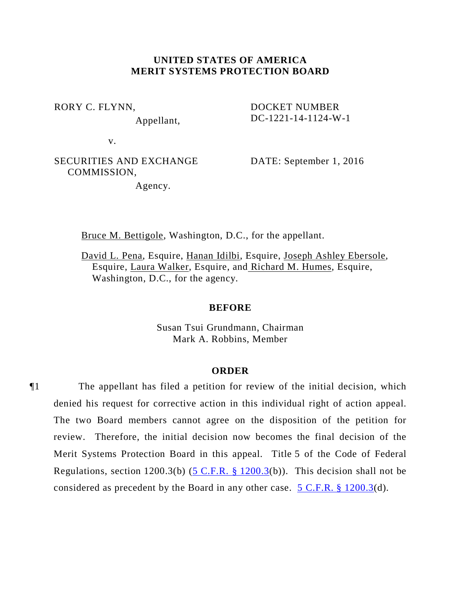# **UNITED STATES OF AMERICA MERIT SYSTEMS PROTECTION BOARD**

RORY C. FLYNN,

Appellant,

DOCKET NUMBER DC-1221-14-1124-W-1

v.

SECURITIES AND EXCHANGE COMMISSION,

DATE: September 1, 2016

Agency.

Bruce M. Bettigole, Washington, D.C., for the appellant.

David L. Pena, Esquire, Hanan Idilbi, Esquire, Joseph Ashley Ebersole, Esquire, Laura Walker, Esquire, and Richard M. Humes, Esquire, Washington, D.C., for the agency.

# **BEFORE**

Susan Tsui Grundmann, Chairman Mark A. Robbins, Member

#### **ORDER**

¶1 The appellant has filed a petition for review of the initial decision, which denied his request for corrective action in this individual right of action appeal. The two Board members cannot agree on the disposition of the petition for review. Therefore, the initial decision now becomes the final decision of the Merit Systems Protection Board in this appeal. Title 5 of the Code of Federal Regulations, section 1200.3(b)  $(5 \text{ C.F.R. } § 1200.3(b))$ . This decision shall not be considered as precedent by the Board in any other case. [5 C.F.R. §](http://api.fdsys.gov/link?collection=cfr&titlenum=5&partnum=1200§ionnum=3&year=2016&link-type=xml) 1200.3(d)*.*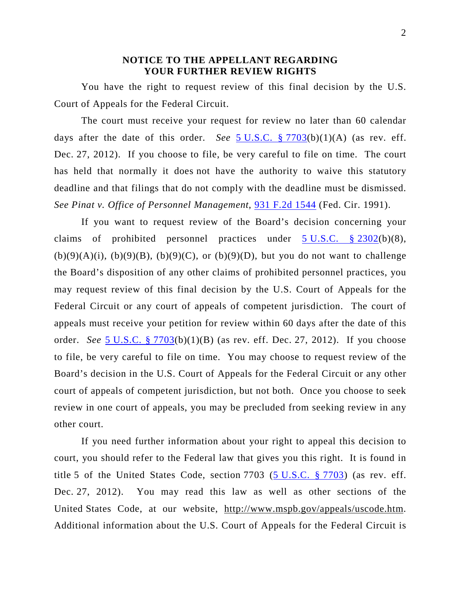# **NOTICE TO THE APPELLANT REGARDING YOUR FURTHER REVIEW RIGHTS**

You have the right to request review of this final decision by the U.S. Court of Appeals for the Federal Circuit.

The court must receive your request for review no later than 60 calendar days after the date of this order. *See* 5 [U.S.C. §](http://www.law.cornell.edu/uscode/5/7703.html) 7703(b)(1)(A) (as rev. eff. Dec. 27, 2012). If you choose to file, be very careful to file on time. The court has held that normally it does not have the authority to waive this statutory deadline and that filings that do not comply with the deadline must be dismissed. *See Pinat v. Office of Personnel Management*, 931 [F.2d 1544](http://scholar.google.com/scholar?num=1&q=intitle%3A931+F.2d+1544&hl=en&btnG=Search&as_sdt=2%25) (Fed. Cir. 1991).

If you want to request review of the Board's decision concerning your claims of prohibited personnel practices under  $5 \text{ U.S.C.}$   $\frac{6}{9} \cdot \frac{2302}{b}(6)(8)$ ,  $(b)(9)(A)(i)$ ,  $(b)(9)(B)$ ,  $(b)(9)(C)$ , or  $(b)(9)(D)$ , but you do not want to challenge the Board's disposition of any other claims of prohibited personnel practices, you may request review of this final decision by the U.S. Court of Appeals for the Federal Circuit or any court of appeals of competent jurisdiction. The court of appeals must receive your petition for review within 60 days after the date of this order. *See* 5 [U.S.C. §](http://www.law.cornell.edu/uscode/5/7703.html) 7703(b)(1)(B) (as rev. eff. Dec. 27, 2012). If you choose to file, be very careful to file on time. You may choose to request review of the Board's decision in the U.S. Court of Appeals for the Federal Circuit or any other court of appeals of competent jurisdiction, but not both. Once you choose to seek review in one court of appeals, you may be precluded from seeking review in any other court.

If you need further information about your right to appeal this decision to court, you should refer to the Federal law that gives you this right. It is found in title 5 of the United States Code, section 7703 (5 [U.S.C. §](http://www.law.cornell.edu/uscode/5/7703.html) 7703) (as rev. eff. Dec. 27, 2012). You may read this law as well as other sections of the United States Code, at our website, [http://www.mspb.gov/appeals/uscode.htm.](http://www.mspb.gov/appeals/uscode.htm) Additional information about the U.S. Court of Appeals for the Federal Circuit is